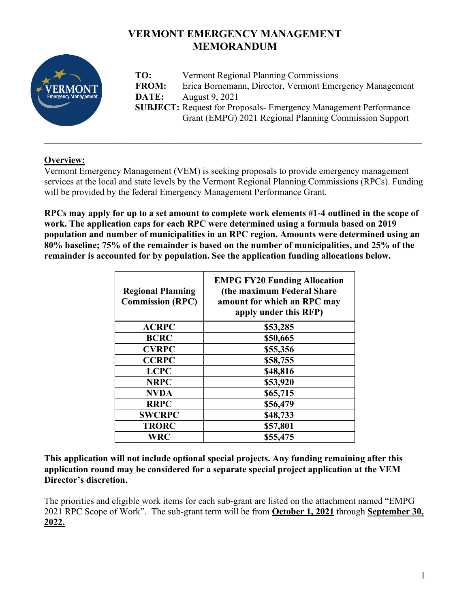# **VERMONT EMERGENCY MANAGEMENT MEMORANDUM**



**TO:** Vermont Regional Planning Commissions **FROM:** Erica Bornemann, Director, Vermont Emergency Management **DATE:** August 9, 2021 **SUBJECT:** Request for Proposals- Emergency Management Performance Grant (EMPG) 2021 Regional Planning Commission Support

# **Overview:**

Vermont Emergency Management (VEM) is seeking proposals to provide emergency management services at the local and state levels by the Vermont Regional Planning Commissions (RPCs). Funding will be provided by the federal Emergency Management Performance Grant.

\_\_\_\_\_\_\_\_\_\_\_\_\_\_\_\_\_\_\_\_\_\_\_\_\_\_\_\_\_\_\_\_\_\_\_\_\_\_\_\_\_\_\_\_\_\_\_\_\_\_\_\_\_\_\_\_\_\_\_\_\_\_\_\_\_\_\_\_\_\_\_\_\_\_\_\_\_\_\_\_\_\_

**RPCs may apply for up to a set amount to complete work elements #1-4 outlined in the scope of work. The application caps for each RPC were determined using a formula based on 2019 population and number of municipalities in an RPC region. Amounts were determined using an 80% baseline; 75% of the remainder is based on the number of municipalities, and 25% of the remainder is accounted for by population. See the application funding allocations below.**

| <b>Regional Planning</b><br><b>Commission (RPC)</b> | <b>EMPG FY20 Funding Allocation</b><br>(the maximum Federal Share<br>amount for which an RPC may<br>apply under this RFP) |
|-----------------------------------------------------|---------------------------------------------------------------------------------------------------------------------------|
| <b>ACRPC</b>                                        | \$53,285                                                                                                                  |
| <b>BCRC</b>                                         | \$50,665                                                                                                                  |
| <b>CVRPC</b>                                        | \$55,356                                                                                                                  |
| <b>CCRPC</b>                                        | \$58,755                                                                                                                  |
| <b>LCPC</b>                                         | \$48,816                                                                                                                  |
| <b>NRPC</b>                                         | \$53,920                                                                                                                  |
| <b>NVDA</b>                                         | \$65,715                                                                                                                  |
| <b>RRPC</b>                                         | \$56,479                                                                                                                  |
| <b>SWCRPC</b>                                       | \$48,733                                                                                                                  |
| <b>TRORC</b>                                        | \$57,801                                                                                                                  |
| WRC                                                 | \$55,475                                                                                                                  |

**This application will not include optional special projects. Any funding remaining after this application round may be considered for a separate special project application at the VEM Director's discretion.** 

The priorities and eligible work items for each sub-grant are listed on the attachment named "EMPG 2021 RPC Scope of Work". The sub-grant term will be from **October 1, 2021** through **September 30, 2022.**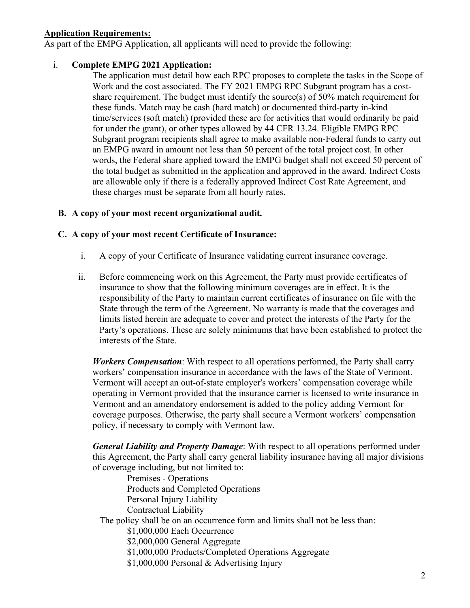#### **Application Requirements:**

As part of the EMPG Application, all applicants will need to provide the following:

#### i. **Complete EMPG 2021 Application:**

The application must detail how each RPC proposes to complete the tasks in the Scope of Work and the cost associated. The FY 2021 EMPG RPC Subgrant program has a costshare requirement. The budget must identify the source(s) of 50% match requirement for these funds. Match may be cash (hard match) or documented third-party in-kind time/services (soft match) (provided these are for activities that would ordinarily be paid for under the grant), or other types allowed by 44 CFR 13.24. Eligible EMPG RPC Subgrant program recipients shall agree to make available non-Federal funds to carry out an EMPG award in amount not less than 50 percent of the total project cost. In other words, the Federal share applied toward the EMPG budget shall not exceed 50 percent of the total budget as submitted in the application and approved in the award. Indirect Costs are allowable only if there is a federally approved Indirect Cost Rate Agreement, and these charges must be separate from all hourly rates.

#### **B. A copy of your most recent organizational audit.**

#### **C. A copy of your most recent Certificate of Insurance:**

- i. A copy of your Certificate of Insurance validating current insurance coverage.
- ii. Before commencing work on this Agreement, the Party must provide certificates of insurance to show that the following minimum coverages are in effect. It is the responsibility of the Party to maintain current certificates of insurance on file with the State through the term of the Agreement. No warranty is made that the coverages and limits listed herein are adequate to cover and protect the interests of the Party for the Party's operations. These are solely minimums that have been established to protect the interests of the State.

*Workers Compensation*: With respect to all operations performed, the Party shall carry workers' compensation insurance in accordance with the laws of the State of Vermont. Vermont will accept an out-of-state employer's workers' compensation coverage while operating in Vermont provided that the insurance carrier is licensed to write insurance in Vermont and an amendatory endorsement is added to the policy adding Vermont for coverage purposes. Otherwise, the party shall secure a Vermont workers' compensation policy, if necessary to comply with Vermont law.

*General Liability and Property Damage*: With respect to all operations performed under this Agreement, the Party shall carry general liability insurance having all major divisions of coverage including, but not limited to:

Premises - Operations Products and Completed Operations Personal Injury Liability Contractual Liability The policy shall be on an occurrence form and limits shall not be less than: \$1,000,000 Each Occurrence \$2,000,000 General Aggregate \$1,000,000 Products/Completed Operations Aggregate \$1,000,000 Personal & Advertising Injury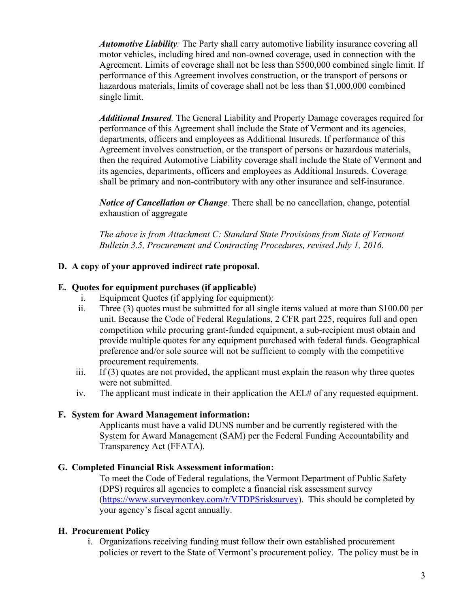*Automotive Liability:* The Party shall carry automotive liability insurance covering all motor vehicles, including hired and non-owned coverage, used in connection with the Agreement. Limits of coverage shall not be less than \$500,000 combined single limit. If performance of this Agreement involves construction, or the transport of persons or hazardous materials, limits of coverage shall not be less than \$1,000,000 combined single limit.

*Additional Insured.* The General Liability and Property Damage coverages required for performance of this Agreement shall include the State of Vermont and its agencies, departments, officers and employees as Additional Insureds. If performance of this Agreement involves construction, or the transport of persons or hazardous materials, then the required Automotive Liability coverage shall include the State of Vermont and its agencies, departments, officers and employees as Additional Insureds. Coverage shall be primary and non-contributory with any other insurance and self-insurance.

*Notice of Cancellation or Change*. There shall be no cancellation, change, potential exhaustion of aggregate

*The above is from Attachment C: Standard State Provisions from State of Vermont Bulletin 3.5, Procurement and Contracting Procedures, revised July 1, 2016.* 

### **D. A copy of your approved indirect rate proposal.**

#### **E. Quotes for equipment purchases (if applicable)**

- i. Equipment Quotes (if applying for equipment):
- ii. Three (3) quotes must be submitted for all single items valued at more than \$100.00 per unit. Because the Code of Federal Regulations, 2 CFR part 225, requires full and open competition while procuring grant-funded equipment, a sub-recipient must obtain and provide multiple quotes for any equipment purchased with federal funds. Geographical preference and/or sole source will not be sufficient to comply with the competitive procurement requirements.
- iii. If  $(3)$  quotes are not provided, the applicant must explain the reason why three quotes were not submitted.
- iv. The applicant must indicate in their application the AEL# of any requested equipment.

#### **F. System for Award Management information:**

Applicants must have a valid DUNS number and be currently registered with the System for Award Management (SAM) per the Federal Funding Accountability and Transparency Act (FFATA).

#### **G. Completed Financial Risk Assessment information:**

To meet the Code of Federal regulations, the Vermont Department of Public Safety (DPS) requires all agencies to complete a financial risk assessment survey [\(https://www.surveymonkey.com/r/VTDPSrisksurvey\)](https://www.surveymonkey.com/r/VTDPSrisksurvey). This should be completed by your agency's fiscal agent annually.

#### **H. Procurement Policy**

i. Organizations receiving funding must follow their own established procurement policies or revert to the State of Vermont's procurement policy. The policy must be in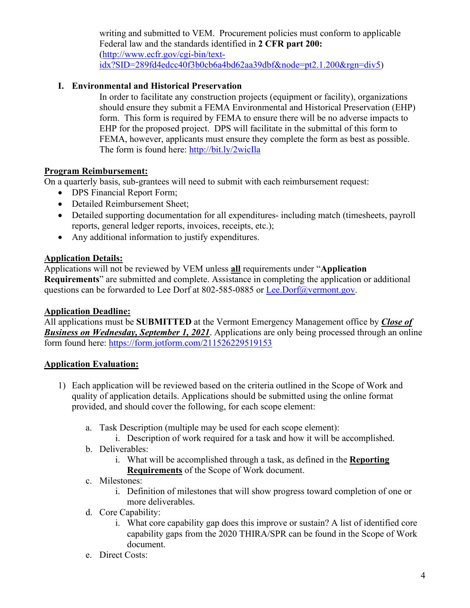writing and submitted to VEM. Procurement policies must conform to applicable Federal law and the standards identified in **2 CFR part 200:** [\(http://www.ecfr.gov/cgi-bin/text](http://www.ecfr.gov/cgi-bin/text-idx?SID=289fd4edcc40f3b0cb6a4bd62aa39dbf&node=pt2.1.200&rgn=div5)[idx?SID=289fd4edcc40f3b0cb6a4bd62aa39dbf&node=pt2.1.200&rgn=div5\)](http://www.ecfr.gov/cgi-bin/text-idx?SID=289fd4edcc40f3b0cb6a4bd62aa39dbf&node=pt2.1.200&rgn=div5)

## **I. Environmental and Historical Preservation**

In order to facilitate any construction projects (equipment or facility), organizations should ensure they submit a FEMA Environmental and Historical Preservation (EHP) form. This form is required by FEMA to ensure there will be no adverse impacts to EHP for the proposed project. DPS will facilitate in the submittal of this form to FEMA, however, applicants must ensure they complete the form as best as possible. The form is found here:<http://bit.ly/2wicIla>

#### **Program Reimbursement:**

On a quarterly basis, sub-grantees will need to submit with each reimbursement request:

- DPS Financial Report Form;
- Detailed Reimbursement Sheet;
- Detailed supporting documentation for all expenditures- including match (timesheets, payroll reports, general ledger reports, invoices, receipts, etc.);
- Any additional information to justify expenditures.

#### **Application Details:**

Applications will not be reviewed by VEM unless **all** requirements under "**Application Requirements**" are submitted and complete. Assistance in completing the application or additional questions can be forwarded to Lee Dorf at 802-585-0885 or [Lee.Dorf@vermont.gov.](mailto:Lee.Dorf@vermont.gov)

#### **Application Deadline:**

All applications must be **SUBMITTED** at the Vermont Emergency Management office by *Close of Business on Wednesday, September 1, 2021*. Applications are only being processed through an online form found here:<https://form.jotform.com/211526229519153>

# **Application Evaluation:**

- 1) Each application will be reviewed based on the criteria outlined in the Scope of Work and quality of application details. Applications should be submitted using the online format provided, and should cover the following, for each scope element:
	- a. Task Description (multiple may be used for each scope element):
		- i. Description of work required for a task and how it will be accomplished.
	- b. Deliverables:
		- i. What will be accomplished through a task, as defined in the **Reporting Requirements** of the Scope of Work document.
	- c. Milestones:
		- i. Definition of milestones that will show progress toward completion of one or more deliverables.
	- d. Core Capability:
		- i. What core capability gap does this improve or sustain? A list of identified core capability gaps from the 2020 THIRA/SPR can be found in the Scope of Work document.
	- e. Direct Costs: